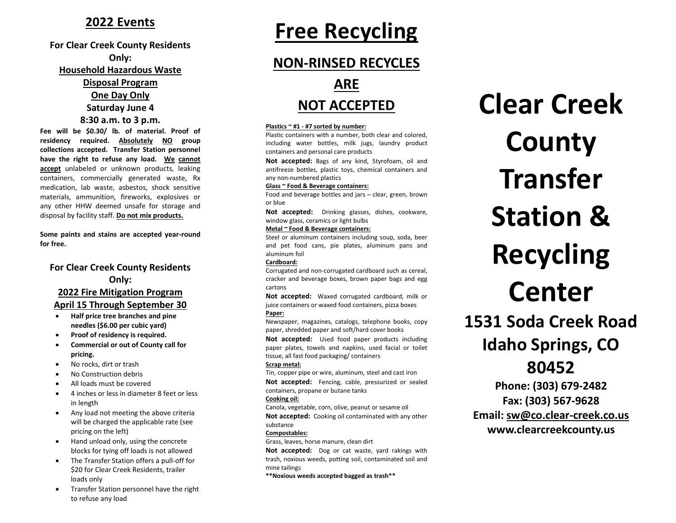### **2022 Events**

#### **For Clear Creek County Residents Only:**

#### **Household Hazardous Waste**

#### **Disposal Program**

**One Day Only Saturday June 4**

#### **8:30 a.m. to 3 p.m.**

**Fee will be \$0.30/ lb. of material. Proof of residency required. Absolutely NO group collections accepted. Transfer Station personnel have the right to refuse any load. We cannot accept** unlabeled or unknown products, leaking containers, commercially generated waste, Rx medication, lab waste, asbestos, shock sensitive materials, ammunition, fireworks, explosives or any other HHW deemed unsafe for storage and disposal by facility staff. **Do not mix products.**

**Some paints and stains are accepted year-round for free.**

#### **For Clear Creek County Residents Only:**

#### **2022 Fire Mitigation Program April 15 Through September 30**

- **Half price tree branches and pine needles (\$6.00 per cubic yard)**
- **Proof of residency is required.**
- **Commercial or out of County call for pricing.**
- No rocks, dirt or trash
- No Construction debris
- All loads must be covered
- 4 inches or less in diameter 8 feet or less in length
- Any load not meeting the above criteria will be charged the applicable rate (see pricing on the left)
- Hand unload only, using the concrete blocks for tying off loads is not allowed
- The Transfer Station offers a pull-off for \$20 for Clear Creek Residents, trailer loads only
- Transfer Station personnel have the right to refuse any load

# **Free Recycling**

# **NON-RINSED RECYCLES ARE**

# **NOT ACCEPTED**

#### **Plastics ~ #1 - #7 sorted by number:**

Plastic containers with a number, both clear and colored, including water bottles, milk jugs, laundry product containers and personal care products

**Not accepted:** Bags of any kind, Styrofoam, oil and antifreeze bottles, plastic toys, chemical containers and any non-numbered plastics

#### **Glass ~ Food & Beverage containers:**

Food and beverage bottles and jars – clear, green, brown or blue

**Not accepted:** Drinking glasses, dishes, cookware, window glass, ceramics or light bulbs

#### **Metal ~ Food & Beverage containers:**

Steel or aluminum containers including soup, soda, beer and pet food cans, pie plates, aluminum pans and aluminum foil

#### **Cardboard:**

Corrugated and non-corrugated cardboard such as cereal, cracker and beverage boxes, brown paper bags and egg cartons

**Not accepted:** Waxed corrugated cardboard, milk or juice containers or waxed food containers, pizza boxes **Paper:**

Newspaper, magazines, catalogs, telephone books, copy paper, shredded paper and soft/hard cover books

**Not accepted:** Used food paper products including paper plates, towels and napkins, used facial or toilet tissue, all fast food packaging/ containers

#### **Scrap metal:**

Tin, copper pipe or wire, aluminum, steel and cast iron **Not accepted:** Fencing, cable, pressurized or sealed containers, propane or butane tanks

#### **Cooking oil:**

Canola, vegetable, corn, olive, peanut or sesame oil

**Not accepted:** Cooking oil contaminated with any other substance

#### **Compostables:**

Grass, leaves, horse manure, clean dirt

**Not accepted:** Dog or cat waste, yard rakings with trash, noxious weeds, potting soil, contaminated soil and mine tailings

**\*\*Noxious weeds accepted bagged as trash\*\***

# **Clear Creek County Transfer Station & Recycling Center**

**1531 Soda Creek Road Idaho Springs, CO 80452**

**Phone: (303) 679-2482 Fax: (303) 567-9628 Email: [sw@co.clear-creek.co.us](mailto:sw@co.clear-creek.co.us) www.clearcreekcounty.us**